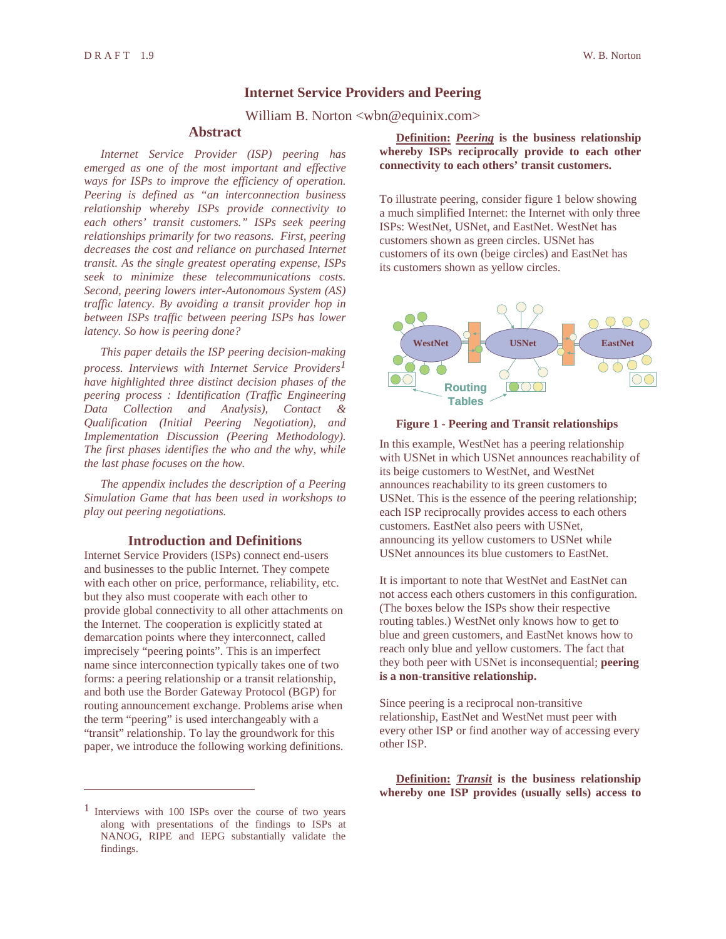## **Internet Service Providers and Peering**

William B. Norton <wbn@equinix.com>

## **Abstract**

*Internet Service Provider (ISP) peering has emerged as one of the most important and effective ways for ISPs to improve the efficiency of operation. Peering is defined as "an interconnection business relationship whereby ISPs provide connectivity to each others' transit customers." ISPs seek peering relationships primarily for two reasons. First, peering decreases the cost and reliance on purchased Internet transit. As the single greatest operating expense, ISPs seek to minimize these telecommunications costs. Second, peering lowers inter-Autonomous System (AS) traffic latency. By avoiding a transit provider hop in between ISPs traffic between peering ISPs has lower latency. So how is peering done?*

*This paper details the ISP peering decision-making process. Interviews with Internet Service Providers1 have highlighted three distinct decision phases of the peering process : Identification (Traffic Engineering Data Collection and Analysis), Contact & Qualification (Initial Peering Negotiation), and Implementation Discussion (Peering Methodology). The first phases identifies the who and the why, while the last phase focuses on the how.*

*The appendix includes the description of a Peering Simulation Game that has been used in workshops to play out peering negotiations.*

## **Introduction and Definitions**

Internet Service Providers (ISPs) connect end-users and businesses to the public Internet. They compete with each other on price, performance, reliability, etc. but they also must cooperate with each other to provide global connectivity to all other attachments on the Internet. The cooperation is explicitly stated at demarcation points where they interconnect, called imprecisely "peering points". This is an imperfect name since interconnection typically takes one of two forms: a peering relationship or a transit relationship, and both use the Border Gateway Protocol (BGP) for routing announcement exchange. Problems arise when the term "peering" is used interchangeably with a "transit" relationship. To lay the groundwork for this paper, we introduce the following working definitions.

1 Interviews with 100 ISPs over the course of two years along with presentations of the findings to ISPs at NANOG, RIPE and IEPG substantially validate the findings.

**Definition:** *Peering* **is the business relationship whereby ISPs reciprocally provide to each other connectivity to each others' transit customers.**

To illustrate peering, consider figure 1 below showing a much simplified Internet: the Internet with only three ISPs: WestNet, USNet, and EastNet. WestNet has customers shown as green circles. USNet has customers of its own (beige circles) and EastNet has its customers shown as yellow circles.



## **Figure 1 - Peering and Transit relationships**

In this example, WestNet has a peering relationship with USNet in which USNet announces reachability of its beige customers to WestNet, and WestNet announces reachability to its green customers to USNet. This is the essence of the peering relationship; each ISP reciprocally provides access to each others customers. EastNet also peers with USNet, announcing its yellow customers to USNet while USNet announces its blue customers to EastNet.

It is important to note that WestNet and EastNet can not access each others customers in this configuration. (The boxes below the ISPs show their respective routing tables.) WestNet only knows how to get to blue and green customers, and EastNet knows how to reach only blue and yellow customers. The fact that they both peer with USNet is inconsequential; **peering is a non-transitive relationship.**

Since peering is a reciprocal non-transitive relationship, EastNet and WestNet must peer with every other ISP or find another way of accessing every other ISP.

**Definition:** *Transit* **is the business relationship whereby one ISP provides (usually sells) access to**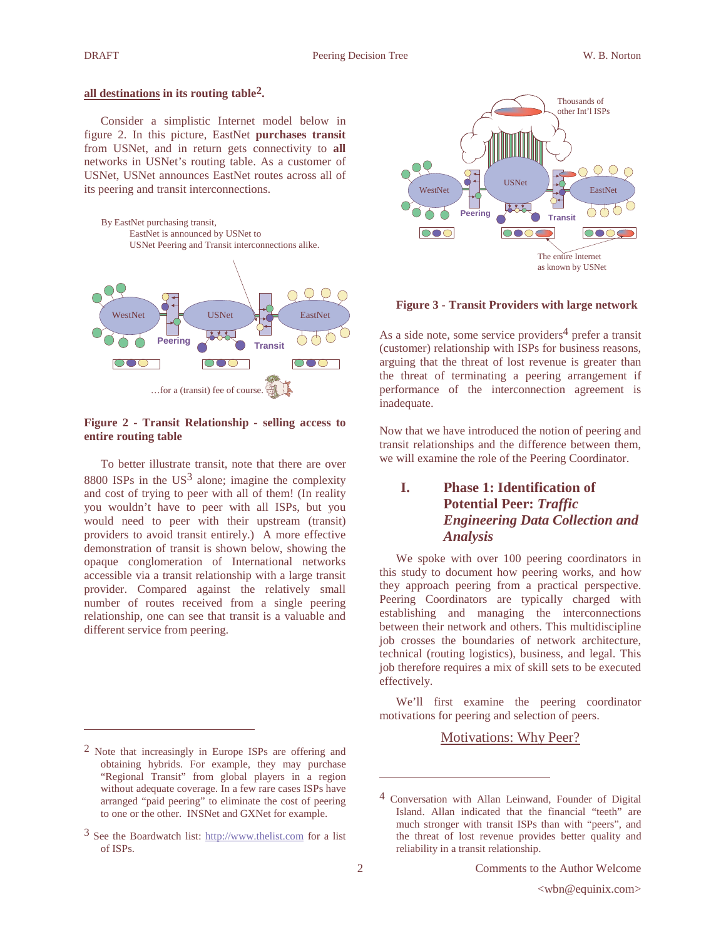#### **all destinations in its routing table2.**

Consider a simplistic Internet model below in figure 2. In this picture, EastNet **purchases transit** from USNet, and in return gets connectivity to **all** networks in USNet's routing table. As a customer of USNet, USNet announces EastNet routes across all of its peering and transit interconnections.



### **Figure 2 - Transit Relationship - selling access to entire routing table**

To better illustrate transit, note that there are over 8800 ISPs in the  $US^3$  alone; imagine the complexity and cost of trying to peer with all of them! (In reality you wouldn't have to peer with all ISPs, but you would need to peer with their upstream (transit) providers to avoid transit entirely.) A more effective demonstration of transit is shown below, showing the opaque conglomeration of International networks accessible via a transit relationship with a large transit provider. Compared against the relatively small number of routes received from a single peering relationship, one can see that transit is a valuable and different service from peering.



### **Figure 3 - Transit Providers with large network**

As a side note, some service providers<sup>4</sup> prefer a transit (customer) relationship with ISPs for business reasons, arguing that the threat of lost revenue is greater than the threat of terminating a peering arrangement if performance of the interconnection agreement is inadequate.

Now that we have introduced the notion of peering and transit relationships and the difference between them, we will examine the role of the Peering Coordinator.

# **I. Phase 1: Identification of Potential Peer:** *Traffic Engineering Data Collection and Analysis*

We spoke with over 100 peering coordinators in this study to document how peering works, and how they approach peering from a practical perspective. Peering Coordinators are typically charged with establishing and managing the interconnections between their network and others. This multidiscipline job crosses the boundaries of network architecture, technical (routing logistics), business, and legal. This job therefore requires a mix of skill sets to be executed effectively.

We'll first examine the peering coordinator motivations for peering and selection of peers.

# Motivations: Why Peer?

<sup>2</sup> Note that increasingly in Europe ISPs are offering and obtaining hybrids. For example, they may purchase "Regional Transit" from global players in a region without adequate coverage. In a few rare cases ISPs have arranged "paid peering" to eliminate the cost of peering to one or the other. INSNet and GXNet for example.

 $3$  See the Boardwatch list: http://www.thelist.com for a list of ISPs.

<sup>4</sup> Conversation with Allan Leinwand, Founder of Digital Island. Allan indicated that the financial "teeth" are much stronger with transit ISPs than with "peers", and the threat of lost revenue provides better quality and reliability in a transit relationship.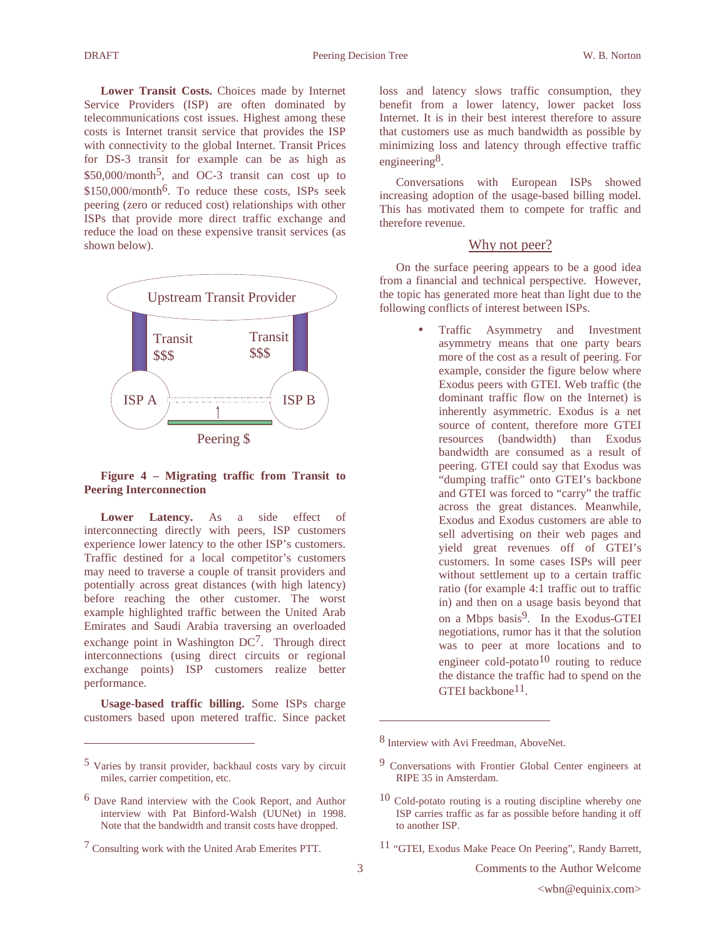**Lower Transit Costs.** Choices made by Internet Service Providers (ISP) are often dominated by telecommunications cost issues. Highest among these costs is Internet transit service that provides the ISP with connectivity to the global Internet. Transit Prices for DS-3 transit for example can be as high as  $$50,000/month^5$ , and OC-3 transit can cost up to  $$150,000/m$ onth<sup>6</sup>. To reduce these costs, ISPs seek peering (zero or reduced cost) relationships with other ISPs that provide more direct traffic exchange and reduce the load on these expensive transit services (as shown below).



# **Figure 4 – Migrating traffic from Transit to Peering Interconnection**

Lower Latency. As a side effect of interconnecting directly with peers, ISP customers experience lower latency to the other ISP's customers. Traffic destined for a local competitor's customers may need to traverse a couple of transit providers and potentially across great distances (with high latency) before reaching the other customer. The worst example highlighted traffic between the United Arab Emirates and Saudi Arabia traversing an overloaded exchange point in Washington DC<sup>7</sup>. Through direct interconnections (using direct circuits or regional exchange points) ISP customers realize better performance.

**Usage-based traffic billing.** Some ISPs charge customers based upon metered traffic. Since packet

loss and latency slows traffic consumption, they benefit from a lower latency, lower packet loss Internet. It is in their best interest therefore to assure that customers use as much bandwidth as possible by minimizing loss and latency through effective traffic engineering<sup>8</sup>.

Conversations with European ISPs showed increasing adoption of the usage-based billing model. This has motivated them to compete for traffic and therefore revenue.

## Why not peer?

On the surface peering appears to be a good idea from a financial and technical perspective. However, the topic has generated more heat than light due to the following conflicts of interest between ISPs.

> • Traffic Asymmetry and Investment asymmetry means that one party bears more of the cost as a result of peering. For example, consider the figure below where Exodus peers with GTEI. Web traffic (the dominant traffic flow on the Internet) is inherently asymmetric. Exodus is a net source of content, therefore more GTEI resources (bandwidth) than Exodus bandwidth are consumed as a result of peering. GTEI could say that Exodus was "dumping traffic" onto GTEI's backbone and GTEI was forced to "carry" the traffic across the great distances. Meanwhile, Exodus and Exodus customers are able to sell advertising on their web pages and yield great revenues off of GTEI's customers. In some cases ISPs will peer without settlement up to a certain traffic ratio (for example 4:1 traffic out to traffic in) and then on a usage basis beyond that on a Mbps basis<sup>9</sup>. In the Exodus-GTEI negotiations, rumor has it that the solution was to peer at more locations and to engineer cold-potato<sup>10</sup> routing to reduce the distance the traffic had to spend on the GTEI backbone<sup>11</sup>.

<sup>5</sup> Varies by transit provider, backhaul costs vary by circuit miles, carrier competition, etc.

<sup>6</sup> Dave Rand interview with the Cook Report, and Author interview with Pat Binford-Walsh (UUNet) in 1998. Note that the bandwidth and transit costs have dropped.

<sup>7</sup> Consulting work with the United Arab Emerites PTT.

<sup>8</sup> Interview with Avi Freedman, AboveNet.

<sup>9</sup> Conversations with Frontier Global Center engineers at RIPE 35 in Amsterdam.

<sup>10</sup> Cold-potato routing is a routing discipline whereby one ISP carries traffic as far as possible before handing it off to another ISP.

<sup>11</sup> "GTEI, Exodus Make Peace On Peering", Randy Barrett,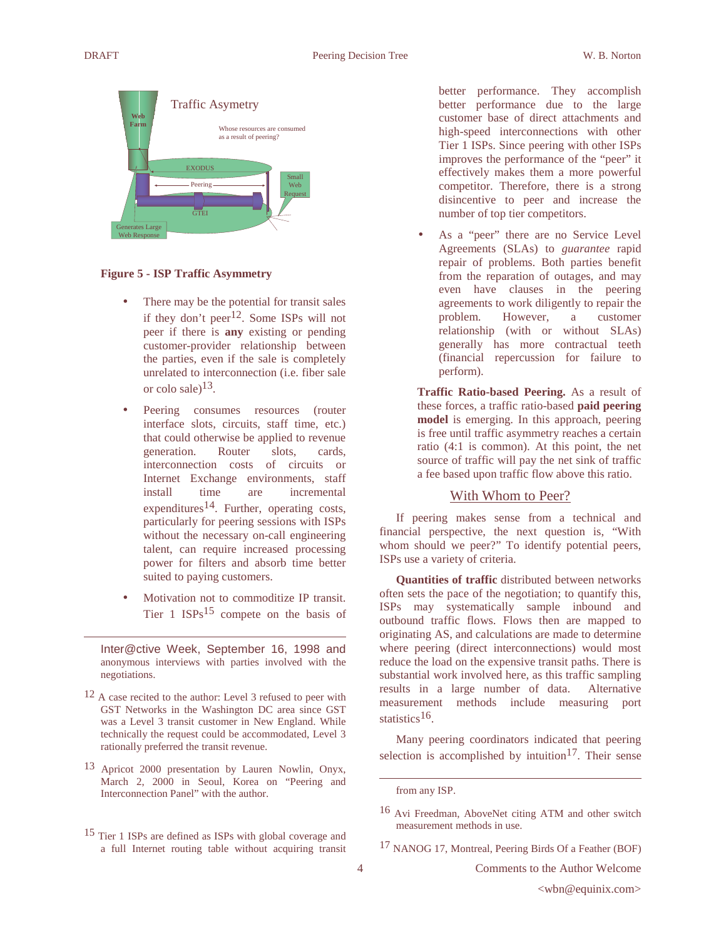

## **Figure 5 - ISP Traffic Asymmetry**

- There may be the potential for transit sales if they don't peer<sup>12</sup>. Some ISPs will not peer if there is **any** existing or pending customer-provider relationship between the parties, even if the sale is completely unrelated to interconnection (i.e. fiber sale or colo sale)13.
- Peering consumes resources (router interface slots, circuits, staff time, etc.) that could otherwise be applied to revenue generation. Router slots, cards, interconnection costs of circuits or Internet Exchange environments, staff install time are incremental expenditures<sup>14</sup>. Further, operating costs, particularly for peering sessions with ISPs without the necessary on-call engineering talent, can require increased processing power for filters and absorb time better suited to paying customers.
- Motivation not to commoditize IP transit. Tier 1  $ISPs<sup>15</sup>$  compete on the basis of

Inter@ctive Week, September 16, 1998 and anonymous interviews with parties involved with the negotiations.

- 12 A case recited to the author: Level 3 refused to peer with GST Networks in the Washington DC area since GST was a Level 3 transit customer in New England. While technically the request could be accommodated, Level 3 rationally preferred the transit revenue.
- 13 Apricot 2000 presentation by Lauren Nowlin, Onyx, March 2, 2000 in Seoul, Korea on "Peering and Interconnection Panel" with the author.
- 15 Tier 1 ISPs are defined as ISPs with global coverage and a full Internet routing table without acquiring transit

better performance. They accomplish better performance due to the large customer base of direct attachments and high-speed interconnections with other Tier 1 ISPs. Since peering with other ISPs improves the performance of the "peer" it effectively makes them a more powerful competitor. Therefore, there is a strong disincentive to peer and increase the number of top tier competitors.

As a "peer" there are no Service Level Agreements (SLAs) to *guarantee* rapid repair of problems. Both parties benefit from the reparation of outages, and may even have clauses in the peering agreements to work diligently to repair the problem. However, a customer relationship (with or without SLAs) generally has more contractual teeth (financial repercussion for failure to perform).

**Traffic Ratio-based Peering.** As a result of these forces, a traffic ratio-based **paid peering model** is emerging. In this approach, peering is free until traffic asymmetry reaches a certain ratio (4:1 is common). At this point, the net source of traffic will pay the net sink of traffic a fee based upon traffic flow above this ratio.

# With Whom to Peer?

If peering makes sense from a technical and financial perspective, the next question is, "With whom should we peer?" To identify potential peers, ISPs use a variety of criteria.

**Quantities of traffic** distributed between networks often sets the pace of the negotiation; to quantify this, ISPs may systematically sample inbound and outbound traffic flows. Flows then are mapped to originating AS, and calculations are made to determine where peering (direct interconnections) would most reduce the load on the expensive transit paths. There is substantial work involved here, as this traffic sampling results in a large number of data. Alternative measurement methods include measuring port statistics<sup>16</sup>.

Many peering coordinators indicated that peering selection is accomplished by intuition<sup>17</sup>. Their sense

17 NANOG 17, Montreal, Peering Birds Of a Feather (BOF)

4 Comments to the Author Welcome

from any ISP.

<sup>16</sup> Avi Freedman, AboveNet citing ATM and other switch measurement methods in use.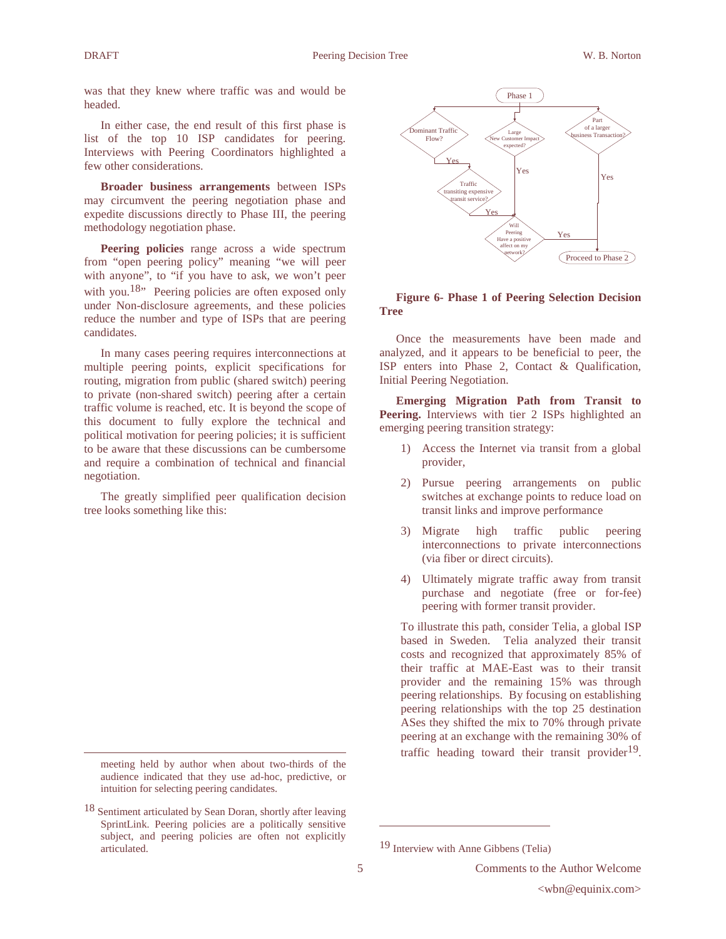was that they knew where traffic was and would be headed.

In either case, the end result of this first phase is list of the top 10 ISP candidates for peering. Interviews with Peering Coordinators highlighted a few other considerations.

**Broader business arrangements** between ISPs may circumvent the peering negotiation phase and expedite discussions directly to Phase III, the peering methodology negotiation phase.

Peering policies range across a wide spectrum from "open peering policy" meaning "we will peer with anyone", to "if you have to ask, we won't peer with you.<sup>18</sup>" Peering policies are often exposed only under Non-disclosure agreements, and these policies reduce the number and type of ISPs that are peering candidates.

In many cases peering requires interconnections at multiple peering points, explicit specifications for routing, migration from public (shared switch) peering to private (non-shared switch) peering after a certain traffic volume is reached, etc. It is beyond the scope of this document to fully explore the technical and political motivation for peering policies; it is sufficient to be aware that these discussions can be cumbersome and require a combination of technical and financial negotiation.

The greatly simplified peer qualification decision tree looks something like this:



## **Figure 6- Phase 1 of Peering Selection Decision Tree**

Once the measurements have been made and analyzed, and it appears to be beneficial to peer, the ISP enters into Phase 2, Contact & Qualification, Initial Peering Negotiation.

**Emerging Migration Path from Transit to Peering.** Interviews with tier 2 ISPs highlighted an emerging peering transition strategy:

- 1) Access the Internet via transit from a global provider,
- 2) Pursue peering arrangements on public switches at exchange points to reduce load on transit links and improve performance
- 3) Migrate high traffic public peering interconnections to private interconnections (via fiber or direct circuits).
- 4) Ultimately migrate traffic away from transit purchase and negotiate (free or for-fee) peering with former transit provider.

To illustrate this path, consider Telia, a global ISP based in Sweden. Telia analyzed their transit costs and recognized that approximately 85% of their traffic at MAE-East was to their transit provider and the remaining 15% was through peering relationships. By focusing on establishing peering relationships with the top 25 destination ASes they shifted the mix to 70% through private peering at an exchange with the remaining 30% of traffic heading toward their transit provider $19$ .

meeting held by author when about two-thirds of the audience indicated that they use ad-hoc, predictive, or intuition for selecting peering candidates.

<sup>18</sup> Sentiment articulated by Sean Doran, shortly after leaving SprintLink. Peering policies are a politically sensitive subject, and peering policies are often not explicitly articulated.

<sup>19</sup> Interview with Anne Gibbens (Telia)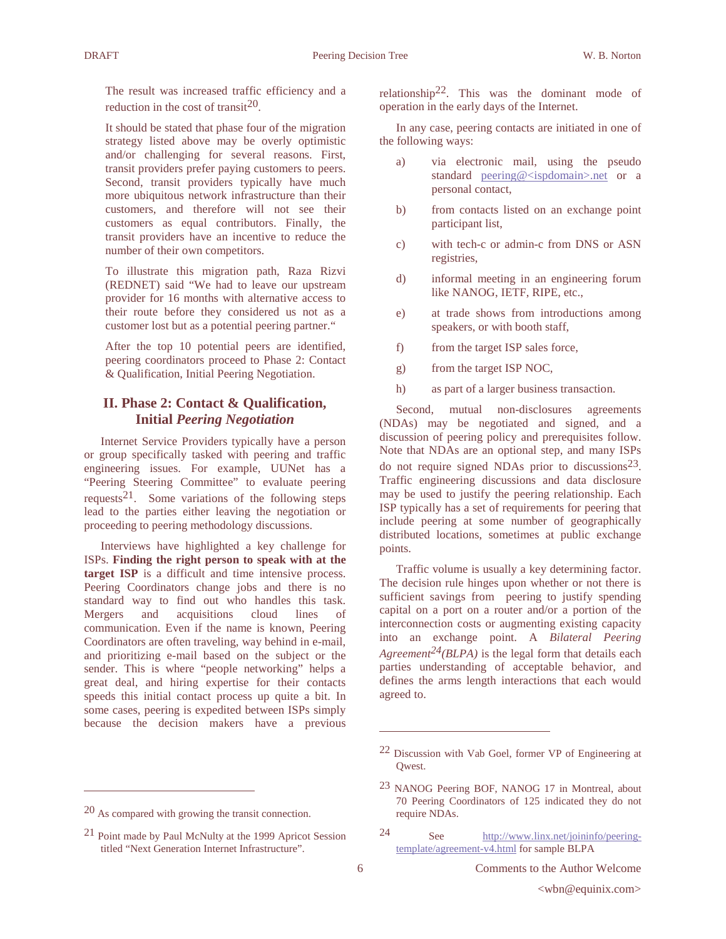The result was increased traffic efficiency and a reduction in the cost of transit<sup>20</sup>.

It should be stated that phase four of the migration strategy listed above may be overly optimistic and/or challenging for several reasons. First, transit providers prefer paying customers to peers. Second, transit providers typically have much more ubiquitous network infrastructure than their customers, and therefore will not see their customers as equal contributors. Finally, the transit providers have an incentive to reduce the number of their own competitors.

To illustrate this migration path, Raza Rizvi (REDNET) said "We had to leave our upstream provider for 16 months with alternative access to their route before they considered us not as a customer lost but as a potential peering partner."

After the top 10 potential peers are identified, peering coordinators proceed to Phase 2: Contact & Qualification, Initial Peering Negotiation.

# **II. Phase 2: Contact & Qualification, Initial** *Peering Negotiation*

Internet Service Providers typically have a person or group specifically tasked with peering and traffic engineering issues. For example, UUNet has a "Peering Steering Committee" to evaluate peering requests<sup>21</sup>. Some variations of the following steps lead to the parties either leaving the negotiation or proceeding to peering methodology discussions.

Interviews have highlighted a key challenge for ISPs. **Finding the right person to speak with at the target ISP** is a difficult and time intensive process. Peering Coordinators change jobs and there is no standard way to find out who handles this task. Mergers and acquisitions cloud lines of communication. Even if the name is known, Peering Coordinators are often traveling, way behind in e-mail, and prioritizing e-mail based on the subject or the sender. This is where "people networking" helps a great deal, and hiring expertise for their contacts speeds this initial contact process up quite a bit. In some cases, peering is expedited between ISPs simply because the decision makers have a previous

relationship<sup>22</sup>. This was the dominant mode of operation in the early days of the Internet.

In any case, peering contacts are initiated in one of the following ways:

- a) via electronic mail, using the pseudo standard peering@<ispdomain>.net or a personal contact,
- b) from contacts listed on an exchange point participant list,
- c) with tech-c or admin-c from DNS or ASN registries,
- d) informal meeting in an engineering forum like NANOG, IETF, RIPE, etc.,
- e) at trade shows from introductions among speakers, or with booth staff,
- f) from the target ISP sales force,
- g) from the target ISP NOC,
- h) as part of a larger business transaction.

Second, mutual non-disclosures agreements (NDAs) may be negotiated and signed, and a discussion of peering policy and prerequisites follow. Note that NDAs are an optional step, and many ISPs do not require signed NDAs prior to discussions<sup>23</sup>. Traffic engineering discussions and data disclosure may be used to justify the peering relationship. Each ISP typically has a set of requirements for peering that include peering at some number of geographically distributed locations, sometimes at public exchange points.

Traffic volume is usually a key determining factor. The decision rule hinges upon whether or not there is sufficient savings from peering to justify spending capital on a port on a router and/or a portion of the interconnection costs or augmenting existing capacity into an exchange point. A *Bilateral Peering Agreement24(BLPA)* is the legal form that details each parties understanding of acceptable behavior, and defines the arms length interactions that each would agreed to.

<sup>20</sup> As compared with growing the transit connection.

<sup>21</sup> Point made by Paul McNulty at the 1999 Apricot Session titled "Next Generation Internet Infrastructure".

 $22$  Discussion with Vab Goel, former VP of Engineering at Qwest.

<sup>23</sup> NANOG Peering BOF, NANOG 17 in Montreal, about 70 Peering Coordinators of 125 indicated they do not require NDAs.

<sup>24</sup> See http://www.linx.net/joininfo/peeringtemplate/agreement-v4.html for sample BLPA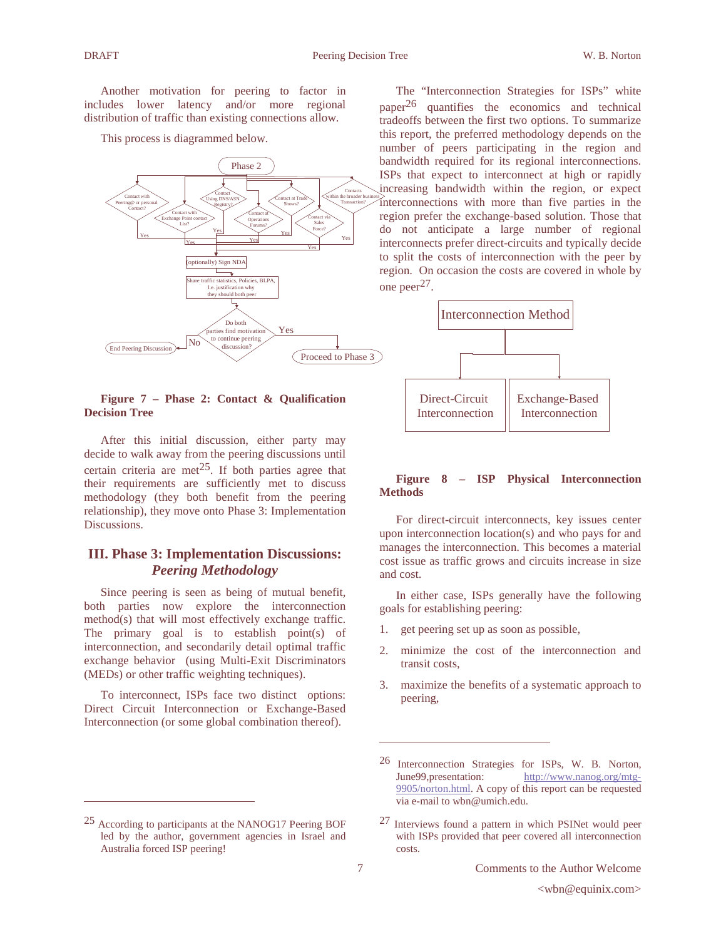Another motivation for peering to factor in includes lower latency and/or more regional distribution of traffic than existing connections allow.

This process is diagrammed below.



### **Figure 7 – Phase 2: Contact & Qualification Decision Tree**

After this initial discussion, either party may decide to walk away from the peering discussions until certain criteria are met<sup>25</sup>. If both parties agree that their requirements are sufficiently met to discuss methodology (they both benefit from the peering relationship), they move onto Phase 3: Implementation Discussions.

# **III. Phase 3: Implementation Discussions:** *Peering Methodology*

Since peering is seen as being of mutual benefit, both parties now explore the interconnection method(s) that will most effectively exchange traffic. The primary goal is to establish point(s) of interconnection, and secondarily detail optimal traffic exchange behavior (using Multi-Exit Discriminators (MEDs) or other traffic weighting techniques).

To interconnect, ISPs face two distinct options: Direct Circuit Interconnection or Exchange-Based Interconnection (or some global combination thereof).

The "Interconnection Strategies for ISPs" white paper<sup>26</sup> quantifies the economics and technical tradeoffs between the first two options. To summarize this report, the preferred methodology depends on the number of peers participating in the region and bandwidth required for its regional interconnections. ISPs that expect to interconnect at high or rapidly increasing bandwidth within the region, or expect interconnections with more than five parties in the region prefer the exchange-based solution. Those that do not anticipate a large number of regional interconnects prefer direct-circuits and typically decide to split the costs of interconnection with the peer by region. On occasion the costs are covered in whole by one peer<sup>27</sup>.



## **Figure 8 – ISP Physical Interconnection Methods**

For direct-circuit interconnects, key issues center upon interconnection location(s) and who pays for and manages the interconnection. This becomes a material cost issue as traffic grows and circuits increase in size and cost.

In either case, ISPs generally have the following goals for establishing peering:

- get peering set up as soon as possible,
- 2. minimize the cost of the interconnection and transit costs,
- 3. maximize the benefits of a systematic approach to peering,

<sup>25</sup> According to participants at the NANOG17 Peering BOF led by the author, government agencies in Israel and Australia forced ISP peering!

<sup>26</sup> Interconnection Strategies for ISPs, W. B. Norton, June99,presentation: http://www.nanog.org/mtg-9905/norton.html. A copy of this report can be requested via e-mail to wbn@umich.edu.

<sup>27</sup> Interviews found a pattern in which PSINet would peer with ISPs provided that peer covered all interconnection costs.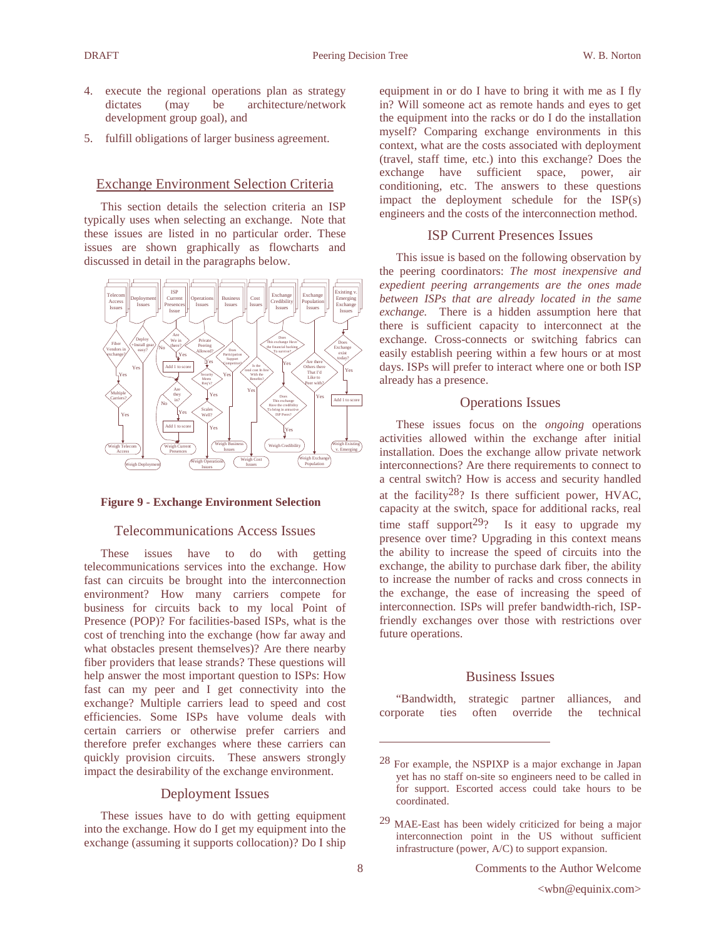- 4. execute the regional operations plan as strategy dictates (may be architecture/network development group goal), and
- 5. fulfill obligations of larger business agreement.

# Exchange Environment Selection Criteria

This section details the selection criteria an ISP typically uses when selecting an exchange. Note that these issues are listed in no particular order. These issues are shown graphically as flowcharts and discussed in detail in the paragraphs below.



## **Figure 9 - Exchange Environment Selection**

# Telecommunications Access Issues

These issues have to do with getting telecommunications services into the exchange. How fast can circuits be brought into the interconnection environment? How many carriers compete for business for circuits back to my local Point of Presence (POP)? For facilities-based ISPs, what is the cost of trenching into the exchange (how far away and what obstacles present themselves)? Are there nearby fiber providers that lease strands? These questions will help answer the most important question to ISPs: How fast can my peer and I get connectivity into the exchange? Multiple carriers lead to speed and cost efficiencies. Some ISPs have volume deals with certain carriers or otherwise prefer carriers and therefore prefer exchanges where these carriers can quickly provision circuits. These answers strongly impact the desirability of the exchange environment.

### Deployment Issues

These issues have to do with getting equipment into the exchange. How do I get my equipment into the exchange (assuming it supports collocation)? Do I ship equipment in or do I have to bring it with me as I fly in? Will someone act as remote hands and eyes to get the equipment into the racks or do I do the installation myself? Comparing exchange environments in this context, what are the costs associated with deployment (travel, staff time, etc.) into this exchange? Does the exchange have sufficient space, power, air conditioning, etc. The answers to these questions impact the deployment schedule for the ISP(s) engineers and the costs of the interconnection method.

# ISP Current Presences Issues

This issue is based on the following observation by the peering coordinators: *The most inexpensive and expedient peering arrangements are the ones made between ISPs that are already located in the same exchange.* There is a hidden assumption here that there is sufficient capacity to interconnect at the exchange. Cross-connects or switching fabrics can easily establish peering within a few hours or at most days. ISPs will prefer to interact where one or both ISP already has a presence.

## Operations Issues

These issues focus on the *ongoing* operations activities allowed within the exchange after initial installation. Does the exchange allow private network interconnections? Are there requirements to connect to a central switch? How is access and security handled at the facility<sup>28</sup>? Is there sufficient power, HVAC, capacity at the switch, space for additional racks, real time staff support<sup>29</sup>? Is it easy to upgrade my presence over time? Upgrading in this context means the ability to increase the speed of circuits into the exchange, the ability to purchase dark fiber, the ability to increase the number of racks and cross connects in the exchange, the ease of increasing the speed of interconnection. ISPs will prefer bandwidth-rich, ISPfriendly exchanges over those with restrictions over future operations.

#### Business Issues

"Bandwidth, strategic partner alliances, and corporate ties often override the technical

<sup>28</sup> For example, the NSPIXP is a major exchange in Japan yet has no staff on-site so engineers need to be called in for support. Escorted access could take hours to be coordinated.

<sup>29</sup> MAE-East has been widely criticized for being a major interconnection point in the US without sufficient infrastructure (power, A/C) to support expansion.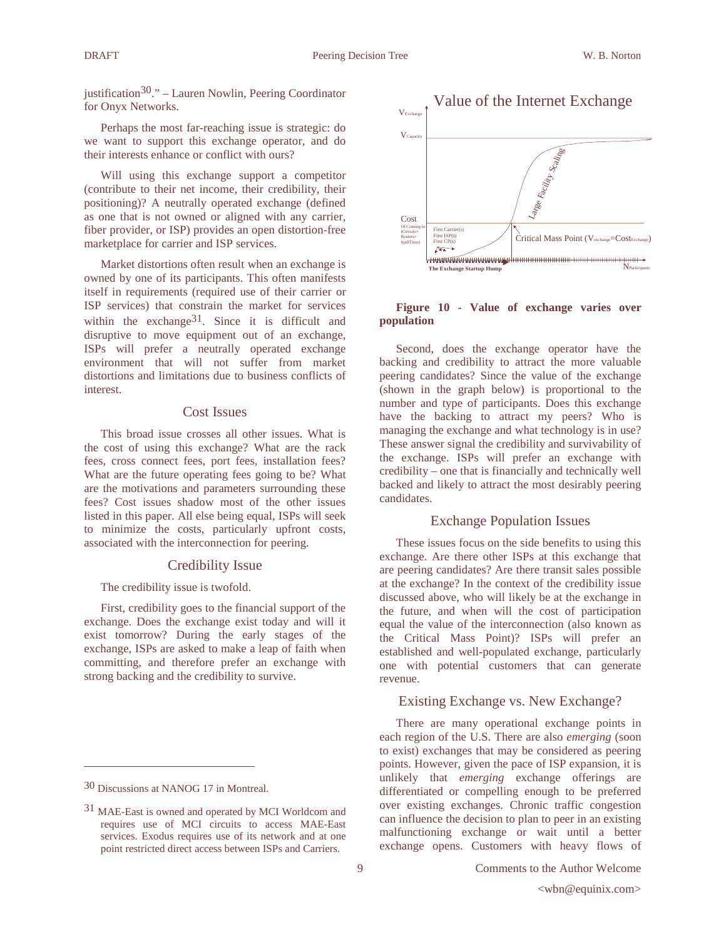justification $30.$ " – Lauren Nowlin, Peering Coordinator for Onyx Networks.

Perhaps the most far-reaching issue is strategic: do we want to support this exchange operator, and do their interests enhance or conflict with ours?

Will using this exchange support a competitor (contribute to their net income, their credibility, their positioning)? A neutrally operated exchange (defined as one that is not owned or aligned with any carrier, fiber provider, or ISP) provides an open distortion-free marketplace for carrier and ISP services.

Market distortions often result when an exchange is owned by one of its participants. This often manifests itself in requirements (required use of their carrier or ISP services) that constrain the market for services within the exchange<sup>31</sup>. Since it is difficult and disruptive to move equipment out of an exchange, ISPs will prefer a neutrally operated exchange environment that will not suffer from market distortions and limitations due to business conflicts of interest.

## Cost Issues

This broad issue crosses all other issues. What is the cost of using this exchange? What are the rack fees, cross connect fees, port fees, installation fees? What are the future operating fees going to be? What are the motivations and parameters surrounding these fees? Cost issues shadow most of the other issues listed in this paper. All else being equal, ISPs will seek to minimize the costs, particularly upfront costs, associated with the interconnection for peering.

### Credibility Issue

The credibility issue is twofold.

First, credibility goes to the financial support of the exchange. Does the exchange exist today and will it exist tomorrow? During the early stages of the exchange, ISPs are asked to make a leap of faith when committing, and therefore prefer an exchange with strong backing and the credibility to survive.



## **Figure 10 - Value of exchange varies over population**

Second, does the exchange operator have the backing and credibility to attract the more valuable peering candidates? Since the value of the exchange (shown in the graph below) is proportional to the number and type of participants. Does this exchange have the backing to attract my peers? Who is managing the exchange and what technology is in use? These answer signal the credibility and survivability of the exchange. ISPs will prefer an exchange with credibility – one that is financially and technically well backed and likely to attract the most desirably peering candidates.

## Exchange Population Issues

These issues focus on the side benefits to using this exchange. Are there other ISPs at this exchange that are peering candidates? Are there transit sales possible at the exchange? In the context of the credibility issue discussed above, who will likely be at the exchange in the future, and when will the cost of participation equal the value of the interconnection (also known as the Critical Mass Point)? ISPs will prefer an established and well-populated exchange, particularly one with potential customers that can generate revenue.

### Existing Exchange vs. New Exchange?

There are many operational exchange points in each region of the U.S. There are also *emerging* (soon to exist) exchanges that may be considered as peering points. However, given the pace of ISP expansion, it is unlikely that *emerging* exchange offerings are differentiated or compelling enough to be preferred over existing exchanges. Chronic traffic congestion can influence the decision to plan to peer in an existing malfunctioning exchange or wait until a better exchange opens. Customers with heavy flows of

<sup>30</sup> Discussions at NANOG 17 in Montreal.

<sup>31</sup> MAE-East is owned and operated by MCI Worldcom and requires use of MCI circuits to access MAE-East services. Exodus requires use of its network and at one point restricted direct access between ISPs and Carriers.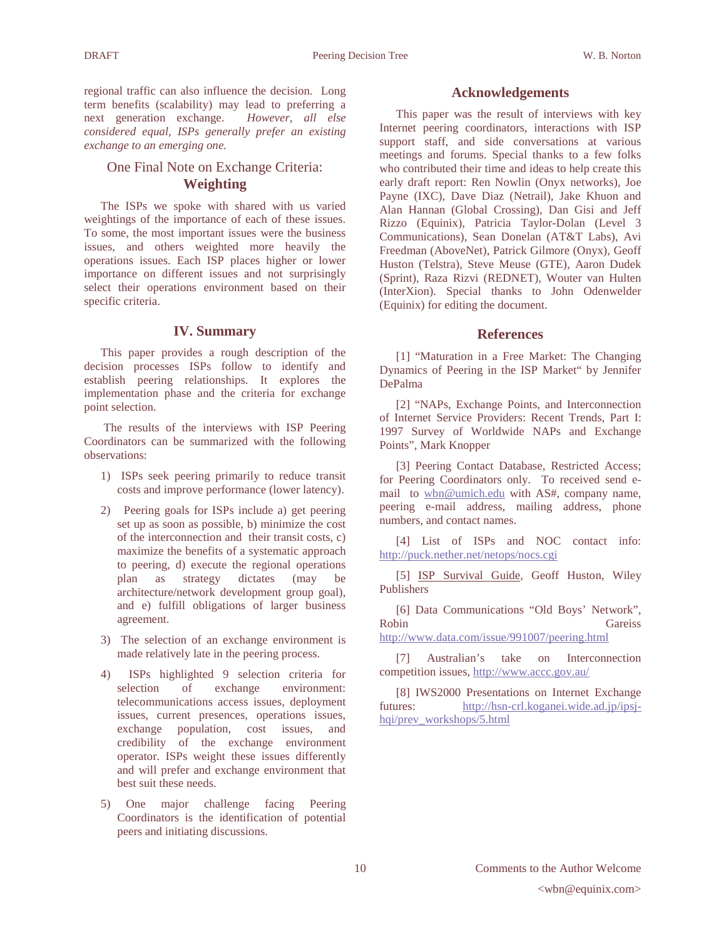regional traffic can also influence the decision. Long term benefits (scalability) may lead to preferring a next generation exchange. However, all else next generation exchange. *considered equal, ISPs generally prefer an existing exchange to an emerging one.*

# One Final Note on Exchange Criteria: **Weighting**

The ISPs we spoke with shared with us varied weightings of the importance of each of these issues. To some, the most important issues were the business issues, and others weighted more heavily the operations issues. Each ISP places higher or lower importance on different issues and not surprisingly select their operations environment based on their specific criteria.

## **IV. Summary**

This paper provides a rough description of the decision processes ISPs follow to identify and establish peering relationships. It explores the implementation phase and the criteria for exchange point selection.

The results of the interviews with ISP Peering Coordinators can be summarized with the following observations:

- 1) ISPs seek peering primarily to reduce transit costs and improve performance (lower latency).
- 2) Peering goals for ISPs include a) get peering set up as soon as possible, b) minimize the cost of the interconnection and their transit costs, c) maximize the benefits of a systematic approach to peering, d) execute the regional operations plan as strategy dictates (may be architecture/network development group goal), and e) fulfill obligations of larger business agreement.
- 3) The selection of an exchange environment is made relatively late in the peering process.
- 4) ISPs highlighted 9 selection criteria for selection of exchange environment: telecommunications access issues, deployment issues, current presences, operations issues, exchange population, cost issues, and credibility of the exchange environment operator. ISPs weight these issues differently and will prefer and exchange environment that best suit these needs.
- 5) One major challenge facing Peering Coordinators is the identification of potential peers and initiating discussions.

#### **Acknowledgements**

This paper was the result of interviews with key Internet peering coordinators, interactions with ISP support staff, and side conversations at various meetings and forums. Special thanks to a few folks who contributed their time and ideas to help create this early draft report: Ren Nowlin (Onyx networks), Joe Payne (IXC), Dave Diaz (Netrail), Jake Khuon and Alan Hannan (Global Crossing), Dan Gisi and Jeff Rizzo (Equinix), Patricia Taylor-Dolan (Level 3 Communications), Sean Donelan (AT&T Labs), Avi Freedman (AboveNet), Patrick Gilmore (Onyx), Geoff Huston (Telstra), Steve Meuse (GTE), Aaron Dudek (Sprint), Raza Rizvi (REDNET), Wouter van Hulten (InterXion). Special thanks to John Odenwelder (Equinix) for editing the document.

## **References**

[1] "Maturation in a Free Market: The Changing Dynamics of Peering in the ISP Market" by Jennifer DePalma

[2] "NAPs, Exchange Points, and Interconnection of Internet Service Providers: Recent Trends, Part I: 1997 Survey of Worldwide NAPs and Exchange Points", Mark Knopper

[3] Peering Contact Database, Restricted Access; for Peering Coordinators only. To received send email to wbn@umich.edu with AS#, company name, peering e-mail address, mailing address, phone numbers, and contact names.

[4] List of ISPs and NOC contact info: http://puck.nether.net/netops/nocs.cgi

[5] ISP Survival Guide, Geoff Huston, Wiley Publishers

[6] Data Communications "Old Boys' Network", Robin Gareiss http://www.data.com/issue/991007/peering.html

[7] Australian's take on Interconnection competition issues, http://www.accc.gov.au/

[8] IWS2000 Presentations on Internet Exchange futures: http://hsn-crl.koganei.wide.ad.jp/ipsjhqi/prev\_workshops/5.html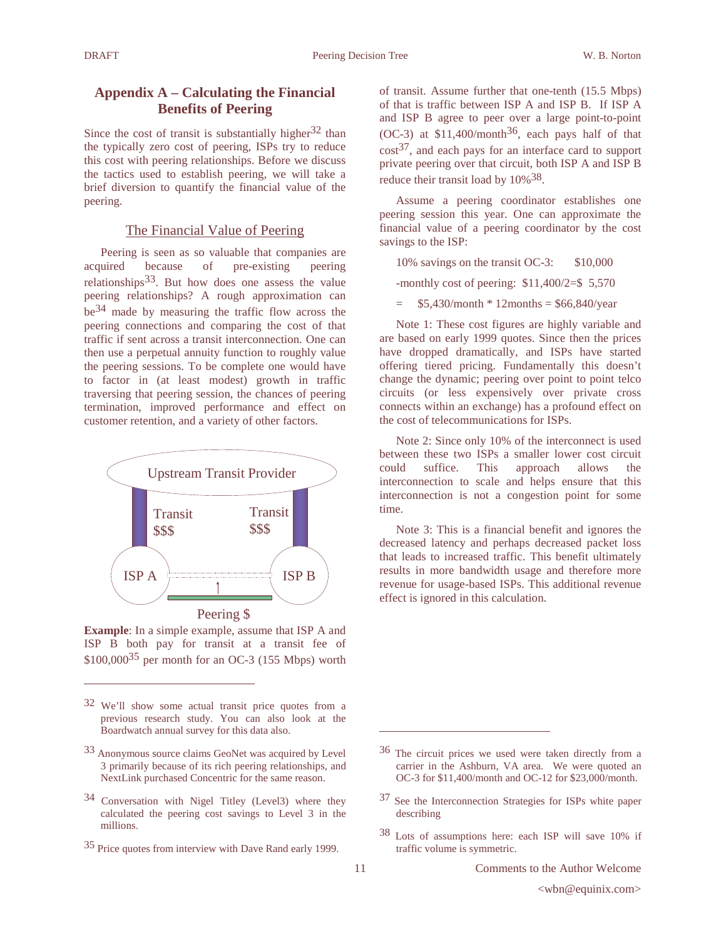# **Appendix A – Calculating the Financial Benefits of Peering**

Since the cost of transit is substantially higher  $32$  than the typically zero cost of peering, ISPs try to reduce this cost with peering relationships. Before we discuss the tactics used to establish peering, we will take a brief diversion to quantify the financial value of the peering.

# The Financial Value of Peering

Peering is seen as so valuable that companies are acquired because of pre-existing peering relationships  $33$ . But how does one assess the value peering relationships? A rough approximation can be34 made by measuring the traffic flow across the peering connections and comparing the cost of that traffic if sent across a transit interconnection. One can then use a perpetual annuity function to roughly value the peering sessions. To be complete one would have to factor in (at least modest) growth in traffic traversing that peering session, the chances of peering termination, improved performance and effect on customer retention, and a variety of other factors.



**Example**: In a simple example, assume that ISP A and ISP B both pay for transit at a transit fee of  $$100,000^{35}$  per month for an OC-3 (155 Mbps) worth

- 34 Conversation with Nigel Titley (Level3) where they calculated the peering cost savings to Level 3 in the millions.
- 35 Price quotes from interview with Dave Rand early 1999.

of transit. Assume further that one-tenth (15.5 Mbps) of that is traffic between ISP A and ISP B. If ISP A and ISP B agree to peer over a large point-to-point (OC-3) at  $$11,400/m$ onth<sup>36</sup>, each pays half of that  $\cos t^{37}$ , and each pays for an interface card to support private peering over that circuit, both ISP A and ISP B reduce their transit load by  $10\%$ <sup>38</sup>.

Assume a peering coordinator establishes one peering session this year. One can approximate the financial value of a peering coordinator by the cost savings to the ISP:

10% savings on the transit OC-3: \$10,000

-monthly cost of peering: \$11,400/2=\$ 5,570

 $$5,430/month * 12 months = $66,840/year$ 

Note 1: These cost figures are highly variable and are based on early 1999 quotes. Since then the prices have dropped dramatically, and ISPs have started offering tiered pricing. Fundamentally this doesn't change the dynamic; peering over point to point telco circuits (or less expensively over private cross connects within an exchange) has a profound effect on the cost of telecommunications for ISPs.

Note 2: Since only 10% of the interconnect is used between these two ISPs a smaller lower cost circuit could suffice. This approach allows the interconnection to scale and helps ensure that this interconnection is not a congestion point for some time.

Note 3: This is a financial benefit and ignores the decreased latency and perhaps decreased packet loss that leads to increased traffic. This benefit ultimately results in more bandwidth usage and therefore more revenue for usage-based ISPs. This additional revenue effect is ignored in this calculation.

<sup>32</sup> We'll show some actual transit price quotes from a previous research study. You can also look at the Boardwatch annual survey for this data also.

<sup>33</sup> Anonymous source claims GeoNet was acquired by Level 3 primarily because of its rich peering relationships, and NextLink purchased Concentric for the same reason.

<sup>36</sup> The circuit prices we used were taken directly from a carrier in the Ashburn, VA area. We were quoted an OC-3 for \$11,400/month and OC-12 for \$23,000/month.

<sup>37</sup> See the Interconnection Strategies for ISPs white paper describing

<sup>38</sup> Lots of assumptions here: each ISP will save 10% if traffic volume is symmetric.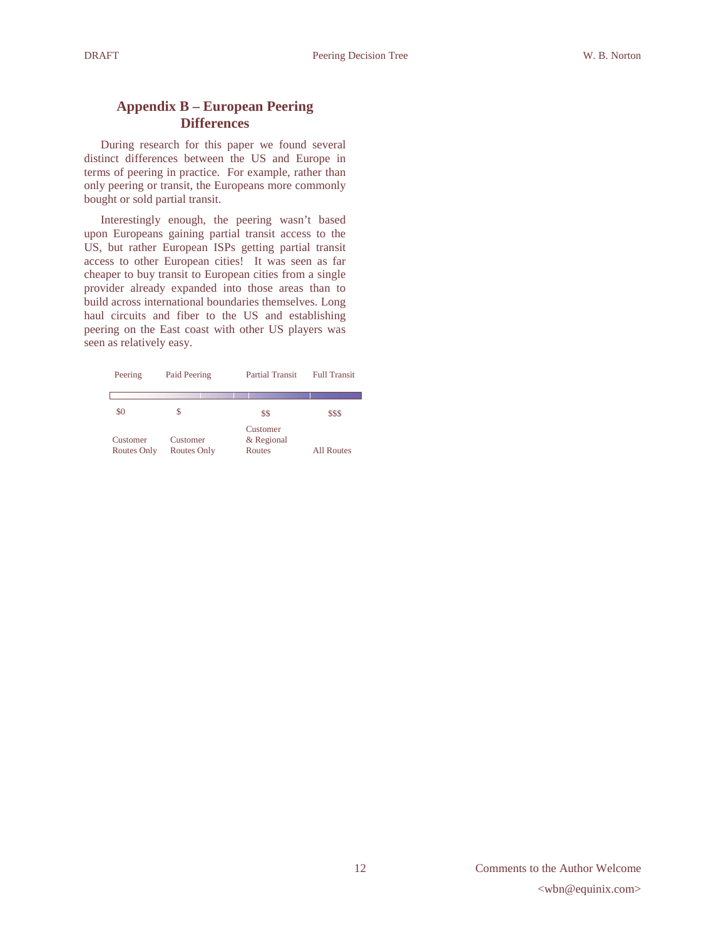# **Appendix B – European Peering Differences**

During research for this paper we found several distinct differences between the US and Europe in terms of peering in practice. For example, rather than only peering or transit, the Europeans more commonly bought or sold partial transit.

Interestingly enough, the peering wasn't based upon Europeans gaining partial transit access to the US, but rather European ISPs getting partial transit access to other European cities! It was seen as far cheaper to buy transit to European cities from a single provider already expanded into those areas than to build across international boundaries themselves. Long haul circuits and fiber to the US and establishing peering on the East coast with other US players was seen as relatively easy.

| Peering                        | Paid Peering            | <b>Partial Transit</b>           | <b>Full Transit</b> |
|--------------------------------|-------------------------|----------------------------------|---------------------|
|                                |                         |                                  |                     |
| \$0                            | \$                      | \$\$                             | \$\$\$              |
| Customer<br><b>Routes Only</b> | Customer<br>Routes Only | Customer<br>& Regional<br>Routes | All Routes          |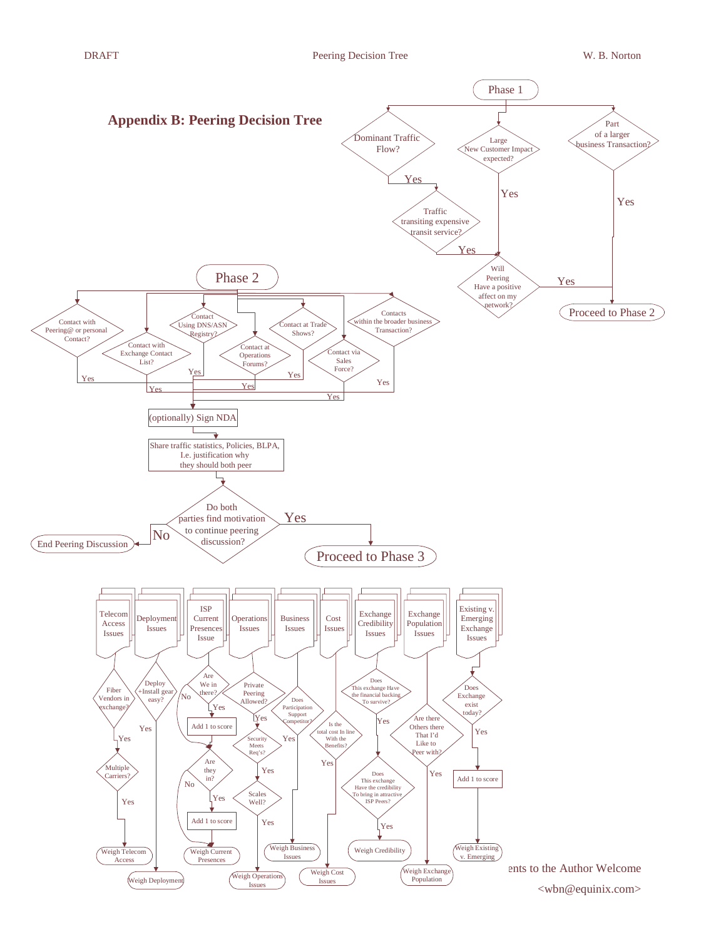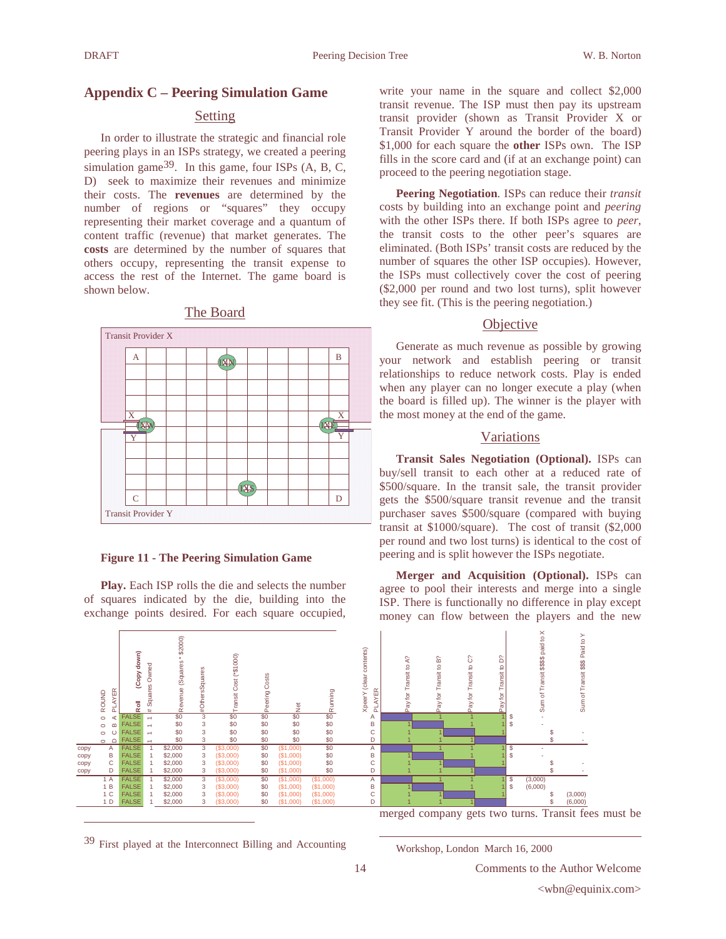# **Appendix C – Peering Simulation Game**

# Setting

In order to illustrate the strategic and financial role peering plays in an ISPs strategy, we created a peering simulation game $3^9$ . In this game, four ISPs (A, B, C, D) seek to maximize their revenues and minimize their costs. The **revenues** are determined by the number of regions or "squares" they occupy representing their market coverage and a quantum of content traffic (revenue) that market generates. The **costs** are determined by the number of squares that others occupy, representing the transit expense to access the rest of the Internet. The game board is shown below.

# The Board



#### **Figure 11 - The Peering Simulation Game**

**Play.** Each ISP rolls the die and selects the number of squares indicated by the die, building into the exchange points desired. For each square occupied,



39 First played at the Interconnect Billing and Accounting

write your name in the square and collect \$2,000 transit revenue. The ISP must then pay its upstream transit provider (shown as Transit Provider X or Transit Provider Y around the border of the board) \$1,000 for each square the **other** ISPs own. The ISP fills in the score card and (if at an exchange point) can proceed to the peering negotiation stage.

**Peering Negotiation**. ISPs can reduce their *transit* costs by building into an exchange point and *peering* with the other ISPs there. If both ISPs agree to *peer*, the transit costs to the other peer's squares are eliminated. (Both ISPs' transit costs are reduced by the number of squares the other ISP occupies). However, the ISPs must collectively cover the cost of peering (\$2,000 per round and two lost turns), split however they see fit. (This is the peering negotiation.)

## **Objective**

Generate as much revenue as possible by growing your network and establish peering or transit relationships to reduce network costs. Play is ended when any player can no longer execute a play (when the board is filled up). The winner is the player with the most money at the end of the game.

## Variations

**Transit Sales Negotiation (Optional).** ISPs can buy/sell transit to each other at a reduced rate of \$500/square. In the transit sale, the transit provider gets the \$500/square transit revenue and the transit purchaser saves \$500/square (compared with buying transit at \$1000/square). The cost of transit (\$2,000 per round and two lost turns) is identical to the cost of peering and is split however the ISPs negotiate.

**Merger and Acquisition (Optional).** ISPs can agree to pool their interests and merge into a single ISP. There is functionally no difference in play except money can flow between the players and the new



merged company gets two turns. Transit fees must be

Workshop, London March 16, 2000